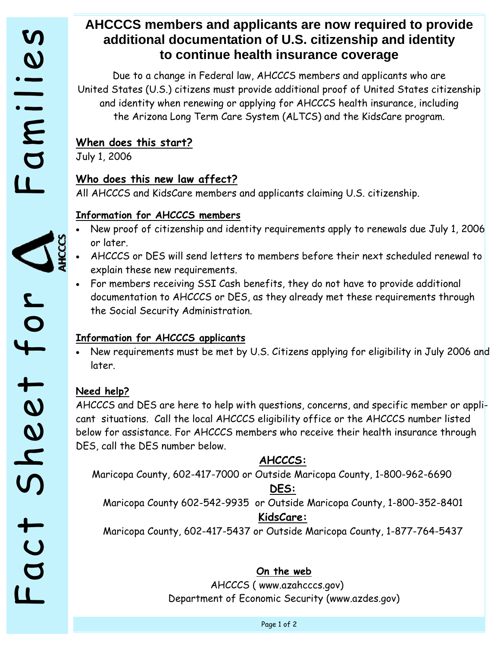# **AHCCCS members and applicants are now required to provide additional documentation of U.S. citizenship and identity to continue health insurance coverage**

Due to a change in Federal law, AHCCCS members and applicants who are United States (U.S.) citizens must provide additional proof of United States citizenship and identity when renewing or applying for AHCCCS health insurance, including the Arizona Long Term Care System (ALTCS) and the KidsCare program. Fact CCS members and a<br>
additional documentat<br>
to continue h<br>
bue to a change in Federal k<br>
and identity when renewing or or<br>
the Arizona Long Term Care<br>
When does this new law affect?<br>
Who does this new law affect?<br>
Who d

## **When does this start?**

July 1, 2006

All AHCCCS and KidsCare members and applicants claiming U.S. citizenship.

## **Information for AHCCCS members**

- New proof of citizenship and identity requirements apply to renewals due July 1, 2006 or later.
- AHCCCS or DES will send letters to members before their next scheduled renewal to explain these new requirements.
- For members receiving SSI Cash benefits, they do not have to provide additional documentation to AHCCCS or DES, as they already met these requirements through the Social Security Administration.

## **Information for AHCCCS applicants**

• New requirements must be met by U.S. Citizens applying for eligibility in July 2006 and later.

### **Need help?**

AHCCCS and DES are here to help with questions, concerns, and specific member or applicant situations. Call the local AHCCCS eligibility office or the AHCCCS number listed below for assistance. For AHCCCS members who receive their health insurance through DES, call the DES number below.

## **AHCCCS:**

Maricopa County, 602-417-7000 or Outside Maricopa County, 1-800-962-6690

## **DES:**

Maricopa County 602-542-9935 or Outside Maricopa County, 1-800-352-8401 **KidsCare:** 

Maricopa County, 602-417-5437 or Outside Maricopa County, 1-877-764-5437

### **On the web**

AHCCCS ( www.azahcccs.gov) Department of Economic Security (www.azdes.gov)

Page 1 of 2